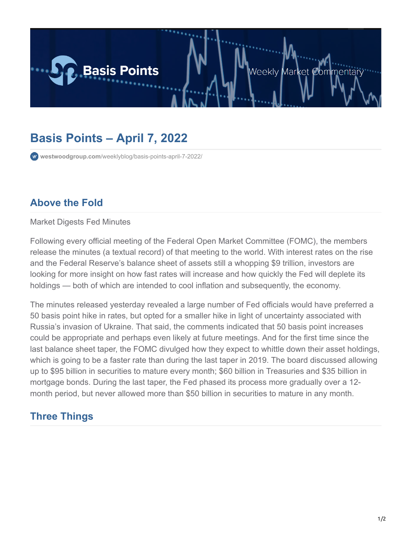

## **Basis Points – April 7, 2022**

**westwoodgroup.com**[/weeklyblog/basis-points-april-7-2022/](https://westwoodgroup.com/weeklyblog/basis-points-april-7-2022/)

## **Above the Fold**

Market Digests Fed Minutes

Following every official meeting of the Federal Open Market Committee (FOMC), the members release the minutes (a textual record) of that meeting to the world. With interest rates on the rise and the Federal Reserve's balance sheet of assets still a whopping \$9 trillion, investors are looking for more insight on how fast rates will increase and how quickly the Fed will deplete its holdings — both of which are intended to cool inflation and subsequently, the economy.

The minutes released yesterday revealed a large number of Fed officials would have preferred a 50 basis point hike in rates, but opted for a smaller hike in light of uncertainty associated with Russia's invasion of Ukraine. That said, the comments indicated that 50 basis point increases could be appropriate and perhaps even likely at future meetings. And for the first time since the last balance sheet taper, the FOMC divulged how they expect to whittle down their asset holdings, which is going to be a faster rate than during the last taper in 2019. The board discussed allowing up to \$95 billion in securities to mature every month; \$60 billion in Treasuries and \$35 billion in mortgage bonds. During the last taper, the Fed phased its process more gradually over a 12 month period, but never allowed more than \$50 billion in securities to mature in any month.

## **Three Things**